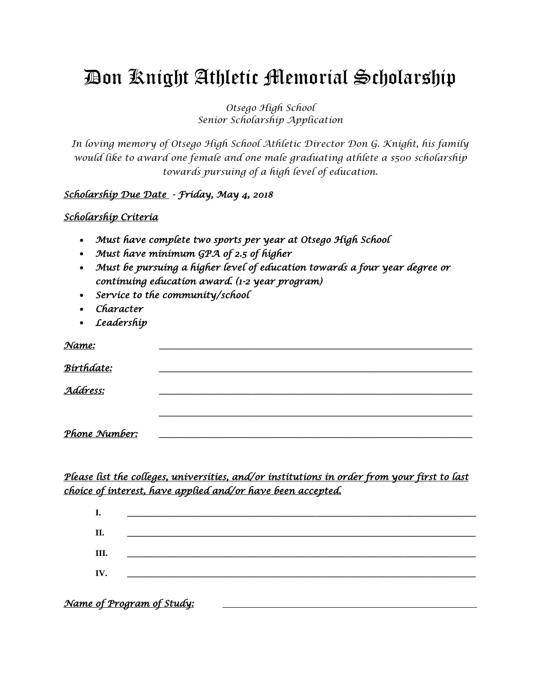# Don Knight Athletic Memorial Scholarship

*Otsego High School Senior Scholarship Application*

*In loving memory of Otsego High School Athletic Director Don G. Knight, his family would like to award one female and one male graduating athlete a \$500 scholarship towards pursuing of a high level of education.*

#### *Scholarship Due Date - Friday, May 4, 2018*

#### *Scholarship Criteria*

- *Must have complete two sports per year at Otsego High School*
- *Must have minimum GPA of 2.5 of higher*
- *Must be pursuing a higher level of education towards a four year degree or continuing education award. (1-2 year program)*
- *Service to the community/school*
- *Character*
- *Leadership*

| <u>Name:</u>  |  |  |
|---------------|--|--|
| Birthdate:    |  |  |
|               |  |  |
| Address:      |  |  |
|               |  |  |
| Phone Number: |  |  |

### *Please list the colleges, universities, and/or institutions in order from your first to last choice of interest, have applied and/or have been accepted.*

| I.  | <u> 1980 - Jan Barnett, mars et al. (</u>                                                                             |  |  |  |
|-----|-----------------------------------------------------------------------------------------------------------------------|--|--|--|
| Π.  |                                                                                                                       |  |  |  |
|     | <u> 1980 - Jan Barnett, mars andrew Maria Barnett, mars andrew Maria Barnett, mars andrew Maria Barnett, mars an</u>  |  |  |  |
| Ш.  | <u> 1986 - Johann Barn, mars eta bainar eta baina eta baina eta baina eta baina eta baina eta baina eta baina eta</u> |  |  |  |
| IV. | <u> 1986 - Jan Samuel Barbara, martxa a shekara 1980 - An tsara 1980 - An tsara 1980 - An tsara 1980 - An tsara 1</u> |  |  |  |
|     |                                                                                                                       |  |  |  |

*Name of Program of Study:*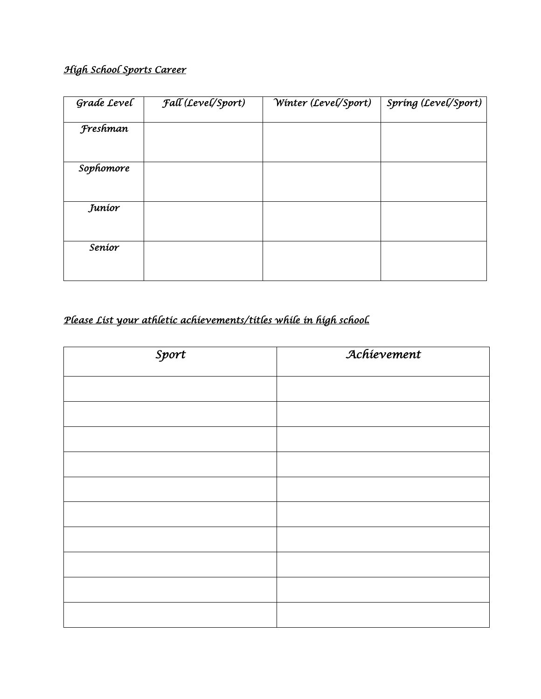## *High School Sports Career*

| Grade Level | Fall (Level/Sport) | $\overline{\text{W}}$ inter (Level/Sport) | Spring (Level/Sport) |
|-------------|--------------------|-------------------------------------------|----------------------|
| Freshman    |                    |                                           |                      |
| Sophomore   |                    |                                           |                      |
| Juníor      |                    |                                           |                      |
| Seníor      |                    |                                           |                      |
|             |                    |                                           |                      |

# *Please List your athletic achievements/titles while in high school.*

| Sport | Achievement |  |
|-------|-------------|--|
|       |             |  |
|       |             |  |
|       |             |  |
|       |             |  |
|       |             |  |
|       |             |  |
|       |             |  |
|       |             |  |
|       |             |  |
|       |             |  |